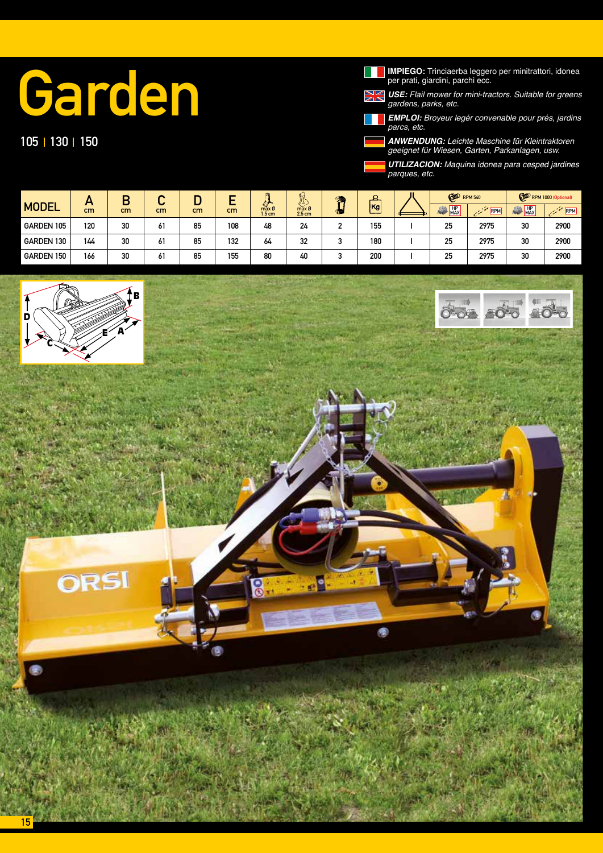## Garden

## 105 | 130 | 150

**IMPIEGO:** Trinciaerba leggero per minitrattori, idonea<br>per prati, giardini, parchi ecc.

*USE: Flail mower for mini-tractors. Suitable for greens*  gardens, parks, etc.

*EMPLOI:* Broyeur legér convenable pour prés, jardins *parcs, etc.*

*ANWENDUNG:* Leichte Maschine für Kleintraktoren geeignet für Wiesen, Garten, Parkanlagen, usw.

*UTILIZACION: Maquina idonea para cesped jardines parques, etc.* 

|              |           |    | ◠<br>ີ    | ш  | -       |                            | أبنكه<br>小                      | G)         |      | ш | <b>CO</b> RPM 540 |      |                  | RPM 1000 (Optional) |
|--------------|-----------|----|-----------|----|---------|----------------------------|---------------------------------|------------|------|---|-------------------|------|------------------|---------------------|
| <b>MODEL</b> | . .<br>cm | cm | cm        | cm | -<br>cm | max 0<br>1.5 <sub>cm</sub> | ╰<br>max Ø<br>2.5 <sub>cm</sub> | <b>GAL</b> | [Kg] |   | HP<br>œ<br>MAX    | RPM  | dà.<br>HP<br>MAX | $\mathbb{R}^n$ RPM  |
| GARDEN 105   | 120       | 30 | ,,<br>6 I | 85 | 108     | 48                         | 24                              | ◠          | 155  |   | 25                | 2975 | 30               | 2900                |
| GARDEN 130   | 144       | 30 | 61        | 85 | 132     | 64                         | 32                              | ◠<br>w     | 180  |   | 25                | 2975 | 30               | 2900                |
| GARDEN 150   | 166       | 30 | 61        | 85 | 155     | 80                         | 40                              | ◠          | 200  |   | 25                | 2975 | 30               | 2900                |